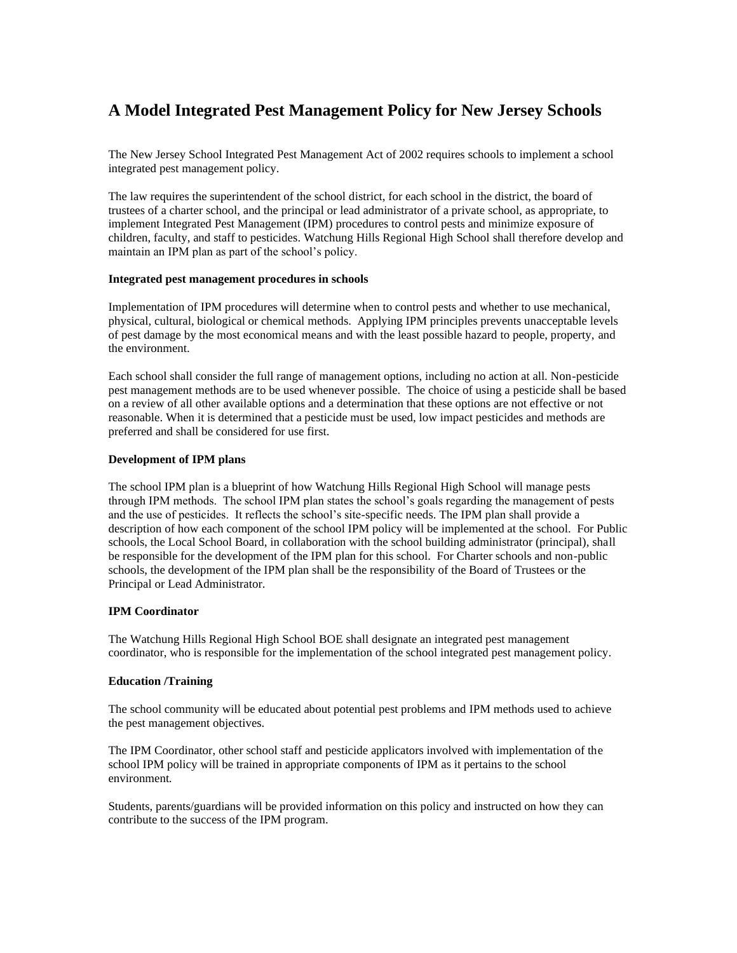# **A Model Integrated Pest Management Policy for New Jersey Schools**

The New Jersey School Integrated Pest Management Act of 2002 requires schools to implement a school integrated pest management policy.

The law requires the superintendent of the school district, for each school in the district, the board of trustees of a charter school, and the principal or lead administrator of a private school, as appropriate, to implement Integrated Pest Management (IPM) procedures to control pests and minimize exposure of children, faculty, and staff to pesticides. Watchung Hills Regional High School shall therefore develop and maintain an IPM plan as part of the school's policy.

#### **Integrated pest management procedures in schools**

Implementation of IPM procedures will determine when to control pests and whether to use mechanical, physical, cultural, biological or chemical methods. Applying IPM principles prevents unacceptable levels of pest damage by the most economical means and with the least possible hazard to people, property, and the environment.

Each school shall consider the full range of management options, including no action at all. Non-pesticide pest management methods are to be used whenever possible. The choice of using a pesticide shall be based on a review of all other available options and a determination that these options are not effective or not reasonable. When it is determined that a pesticide must be used, low impact pesticides and methods are preferred and shall be considered for use first.

# **Development of IPM plans**

The school IPM plan is a blueprint of how Watchung Hills Regional High School will manage pests through IPM methods. The school IPM plan states the school's goals regarding the management of pests and the use of pesticides. It reflects the school's site-specific needs. The IPM plan shall provide a description of how each component of the school IPM policy will be implemented at the school. For Public schools, the Local School Board, in collaboration with the school building administrator (principal), shall be responsible for the development of the IPM plan for this school. For Charter schools and non-public schools, the development of the IPM plan shall be the responsibility of the Board of Trustees or the Principal or Lead Administrator.

# **IPM Coordinator**

The Watchung Hills Regional High School BOE shall designate an integrated pest management coordinator, who is responsible for the implementation of the school integrated pest management policy.

# **Education /Training**

The school community will be educated about potential pest problems and IPM methods used to achieve the pest management objectives.

The IPM Coordinator, other school staff and pesticide applicators involved with implementation of the school IPM policy will be trained in appropriate components of IPM as it pertains to the school environment*.*

Students, parents/guardians will be provided information on this policy and instructed on how they can contribute to the success of the IPM program.